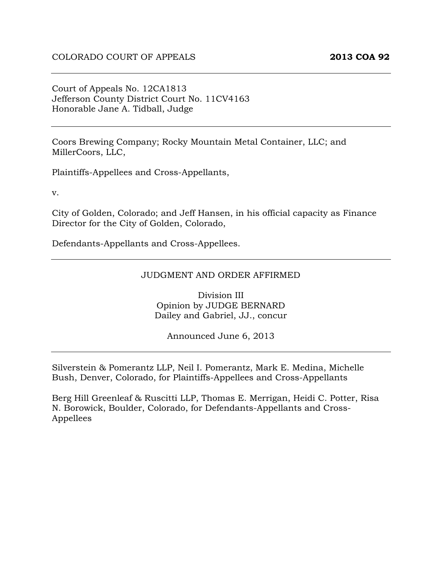Court of Appeals No. 12CA1813 Jefferson County District Court No. 11CV4163 Honorable Jane A. Tidball, Judge

Coors Brewing Company; Rocky Mountain Metal Container, LLC; and MillerCoors, LLC,

Plaintiffs-Appellees and Cross-Appellants,

v.

City of Golden, Colorado; and Jeff Hansen, in his official capacity as Finance Director for the City of Golden, Colorado,

Defendants-Appellants and Cross-Appellees.

#### JUDGMENT AND ORDER AFFIRMED

Division III Opinion by JUDGE BERNARD Dailey and Gabriel, JJ., concur

Announced June 6, 2013

Silverstein & Pomerantz LLP, Neil I. Pomerantz, Mark E. Medina, Michelle Bush, Denver, Colorado, for Plaintiffs-Appellees and Cross-Appellants

Berg Hill Greenleaf & Ruscitti LLP, Thomas E. Merrigan, Heidi C. Potter, Risa N. Borowick, Boulder, Colorado, for Defendants-Appellants and Cross-Appellees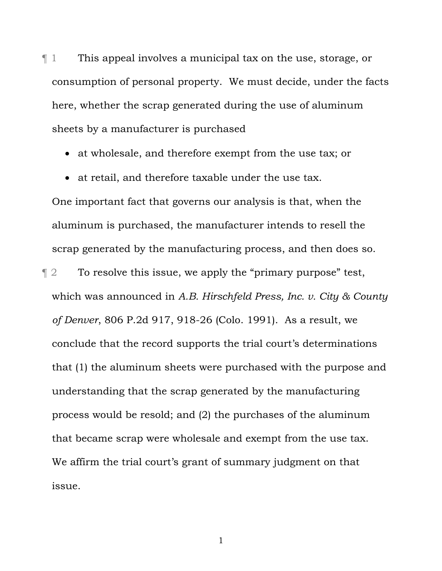¶ 1 This appeal involves a municipal tax on the use, storage, or consumption of personal property. We must decide, under the facts here, whether the scrap generated during the use of aluminum sheets by a manufacturer is purchased

- at wholesale, and therefore exempt from the use tax; or
- at retail, and therefore taxable under the use tax.

One important fact that governs our analysis is that, when the aluminum is purchased, the manufacturer intends to resell the scrap generated by the manufacturing process, and then does so.

 $\llbracket 2 \rrbracket$  To resolve this issue, we apply the "primary purpose" test, which was announced in *A.B. Hirschfeld Press, Inc. v. City & County of Denver*, 806 P.2d 917, 918-26 (Colo. 1991). As a result, we conclude that the record supports the trial court's determinations that (1) the aluminum sheets were purchased with the purpose and understanding that the scrap generated by the manufacturing process would be resold; and (2) the purchases of the aluminum that became scrap were wholesale and exempt from the use tax. We affirm the trial court's grant of summary judgment on that issue.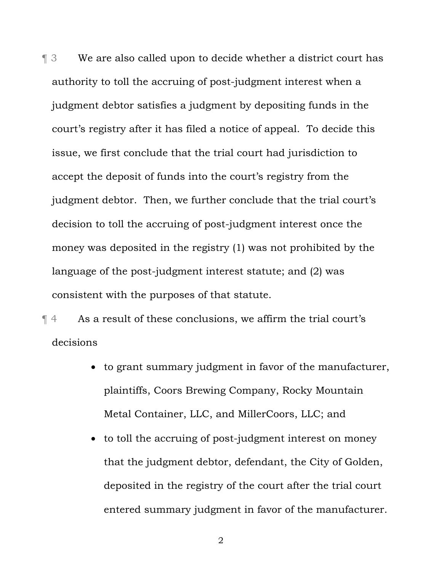¶ 3 We are also called upon to decide whether a district court has authority to toll the accruing of post-judgment interest when a judgment debtor satisfies a judgment by depositing funds in the court's registry after it has filed a notice of appeal. To decide this issue, we first conclude that the trial court had jurisdiction to accept the deposit of funds into the court's registry from the judgment debtor. Then, we further conclude that the trial court's decision to toll the accruing of post-judgment interest once the money was deposited in the registry (1) was not prohibited by the language of the post-judgment interest statute; and (2) was consistent with the purposes of that statute.

¶ 4 As a result of these conclusions, we affirm the trial court's decisions

- to grant summary judgment in favor of the manufacturer, plaintiffs, Coors Brewing Company, Rocky Mountain Metal Container, LLC, and MillerCoors, LLC; and
- to toll the accruing of post-judgment interest on money that the judgment debtor, defendant, the City of Golden, deposited in the registry of the court after the trial court entered summary judgment in favor of the manufacturer.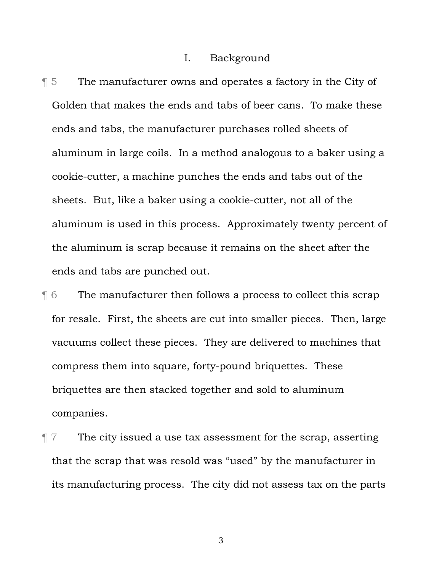#### I. Background

¶ 5 The manufacturer owns and operates a factory in the City of Golden that makes the ends and tabs of beer cans. To make these ends and tabs, the manufacturer purchases rolled sheets of aluminum in large coils. In a method analogous to a baker using a cookie-cutter, a machine punches the ends and tabs out of the sheets. But, like a baker using a cookie-cutter, not all of the aluminum is used in this process. Approximately twenty percent of the aluminum is scrap because it remains on the sheet after the ends and tabs are punched out.

¶ 6 The manufacturer then follows a process to collect this scrap for resale. First, the sheets are cut into smaller pieces. Then, large vacuums collect these pieces. They are delivered to machines that compress them into square, forty-pound briquettes. These briquettes are then stacked together and sold to aluminum companies.

 $\P$  7 The city issued a use tax assessment for the scrap, asserting that the scrap that was resold was "used" by the manufacturer in its manufacturing process. The city did not assess tax on the parts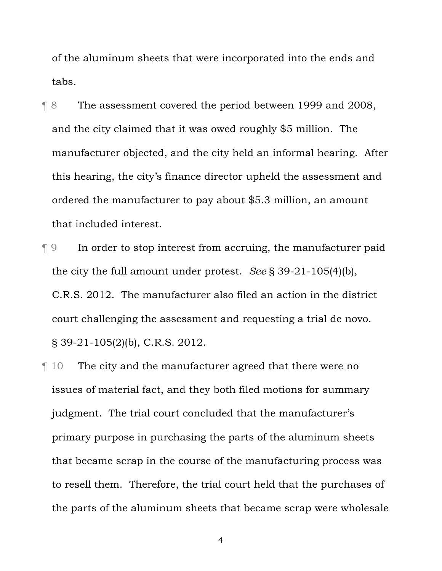of the aluminum sheets that were incorporated into the ends and tabs.

- ¶ 8 The assessment covered the period between 1999 and 2008, and the city claimed that it was owed roughly \$5 million. The manufacturer objected, and the city held an informal hearing. After this hearing, the city's finance director upheld the assessment and ordered the manufacturer to pay about \$5.3 million, an amount that included interest.
- ¶ 9 In order to stop interest from accruing, the manufacturer paid the city the full amount under protest. *See* § 39-21-105(4)(b), C.R.S. 2012. The manufacturer also filed an action in the district court challenging the assessment and requesting a trial de novo. § 39-21-105(2)(b), C.R.S. 2012.
- ¶ 10 The city and the manufacturer agreed that there were no issues of material fact, and they both filed motions for summary judgment. The trial court concluded that the manufacturer's primary purpose in purchasing the parts of the aluminum sheets that became scrap in the course of the manufacturing process was to resell them. Therefore, the trial court held that the purchases of the parts of the aluminum sheets that became scrap were wholesale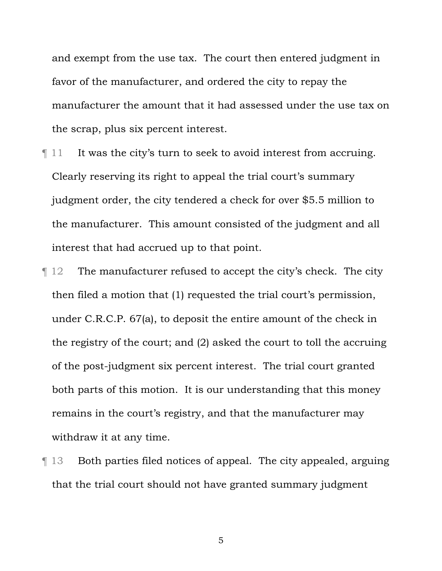and exempt from the use tax. The court then entered judgment in favor of the manufacturer, and ordered the city to repay the manufacturer the amount that it had assessed under the use tax on the scrap, plus six percent interest.

- $\llbracket$  11 It was the city's turn to seek to avoid interest from accruing. Clearly reserving its right to appeal the trial court's summary judgment order, the city tendered a check for over \$5.5 million to the manufacturer. This amount consisted of the judgment and all interest that had accrued up to that point.
- $\parallel$  12 The manufacturer refused to accept the city's check. The city then filed a motion that (1) requested the trial court's permission, under C.R.C.P. 67(a), to deposit the entire amount of the check in the registry of the court; and (2) asked the court to toll the accruing of the post-judgment six percent interest. The trial court granted both parts of this motion. It is our understanding that this money remains in the court's registry, and that the manufacturer may withdraw it at any time.
- ¶ 13 Both parties filed notices of appeal. The city appealed, arguing that the trial court should not have granted summary judgment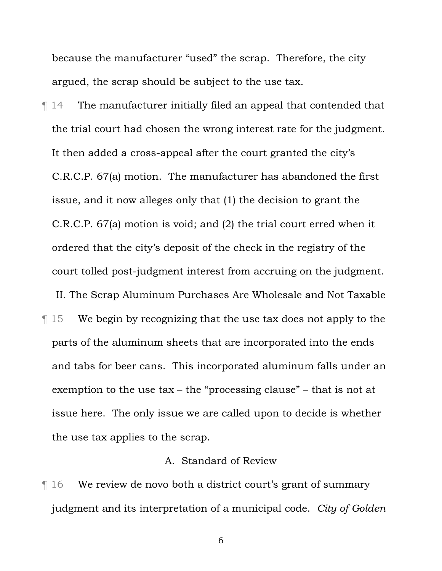because the manufacturer "used" the scrap. Therefore, the city argued, the scrap should be subject to the use tax.

¶ 14 The manufacturer initially filed an appeal that contended that the trial court had chosen the wrong interest rate for the judgment. It then added a cross-appeal after the court granted the city's C.R.C.P. 67(a) motion. The manufacturer has abandoned the first issue, and it now alleges only that (1) the decision to grant the C.R.C.P. 67(a) motion is void; and (2) the trial court erred when it ordered that the city's deposit of the check in the registry of the court tolled post-judgment interest from accruing on the judgment.

¶ 15 We begin by recognizing that the use tax does not apply to the parts of the aluminum sheets that are incorporated into the ends and tabs for beer cans. This incorporated aluminum falls under an exemption to the use tax – the "processing clause" – that is not at issue here. The only issue we are called upon to decide is whether the use tax applies to the scrap.

II. The Scrap Aluminum Purchases Are Wholesale and Not Taxable

## A. Standard of Review

¶ 16 We review de novo both a district court's grant of summary judgment and its interpretation of a municipal code. *City of Golden*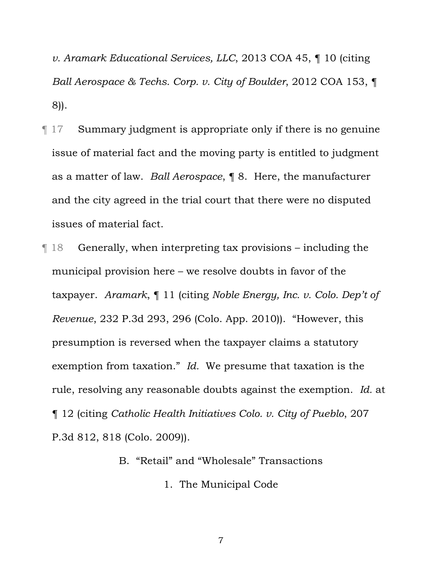*v. Aramark Educational Services, LLC*, 2013 COA 45, ¶ 10 (citing *Ball Aerospace & Techs. Corp. v. City of Boulder*, 2012 COA 153, ¶ 8)).

- ¶ 17 Summary judgment is appropriate only if there is no genuine issue of material fact and the moving party is entitled to judgment as a matter of law. *Ball Aerospace*, ¶ 8. Here, the manufacturer and the city agreed in the trial court that there were no disputed issues of material fact.
- ¶ 18 Generally, when interpreting tax provisions including the municipal provision here – we resolve doubts in favor of the taxpayer. *Aramark*, ¶ 11 (citing *Noble Energy, Inc. v. Colo. Dep't of Revenue*, 232 P.3d 293, 296 (Colo. App. 2010)). "However, this presumption is reversed when the taxpayer claims a statutory exemption from taxation." *Id.* We presume that taxation is the rule, resolving any reasonable doubts against the exemption. *Id.* at ¶ 12 (citing *Catholic Health Initiatives Colo. v. City of Pueblo*, 207 P.3d 812, 818 (Colo. 2009)).

B. "Retail" and "Wholesale" Transactions

1. The Municipal Code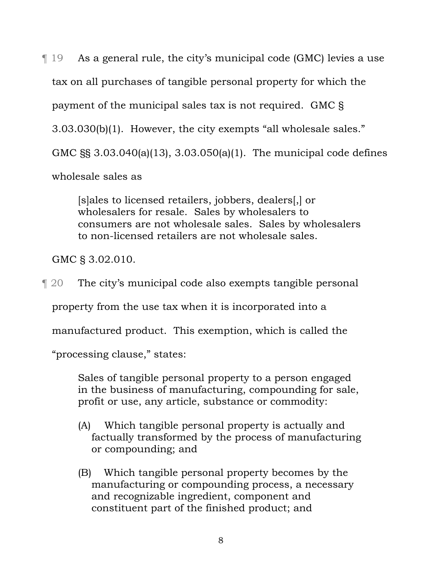¶ 19 As a general rule, the city's municipal code (GMC) levies a use tax on all purchases of tangible personal property for which the payment of the municipal sales tax is not required. GMC § 3.03.030(b)(1). However, the city exempts "all wholesale sales." GMC §§ 3.03.040(a)(13), 3.03.050(a)(1). The municipal code defines wholesale sales as

> [s]ales to licensed retailers, jobbers, dealers[,] or wholesalers for resale. Sales by wholesalers to consumers are not wholesale sales. Sales by wholesalers to non-licensed retailers are not wholesale sales.

GMC § 3.02.010.

¶ 20 The city's municipal code also exempts tangible personal property from the use tax when it is incorporated into a manufactured product. This exemption, which is called the

"processing clause," states:

Sales of tangible personal property to a person engaged in the business of manufacturing, compounding for sale, profit or use, any article, substance or commodity:

- (A) Which tangible personal property is actually and factually transformed by the process of manufacturing or compounding; and
- (B) Which tangible personal property becomes by the manufacturing or compounding process, a necessary and recognizable ingredient, component and constituent part of the finished product; and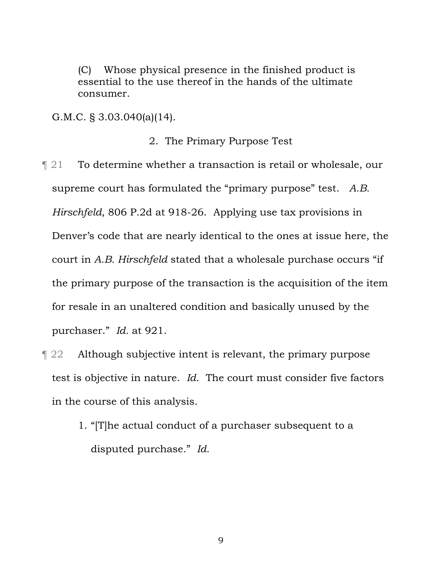(C) Whose physical presence in the finished product is essential to the use thereof in the hands of the ultimate consumer.

G.M.C. § 3.03.040(a)(14).

#### 2. The Primary Purpose Test

- ¶ 21 To determine whether a transaction is retail or wholesale, our supreme court has formulated the "primary purpose" test. *A.B. Hirschfeld*, 806 P.2d at 918-26. Applying use tax provisions in Denver's code that are nearly identical to the ones at issue here, the court in *A.B. Hirschfeld* stated that a wholesale purchase occurs "if the primary purpose of the transaction is the acquisition of the item for resale in an unaltered condition and basically unused by the purchaser." *Id.* at 921.
- ¶ 22 Although subjective intent is relevant, the primary purpose test is objective in nature. *Id*. The court must consider five factors in the course of this analysis.
	- 1. "[T]he actual conduct of a purchaser subsequent to a disputed purchase." *Id*.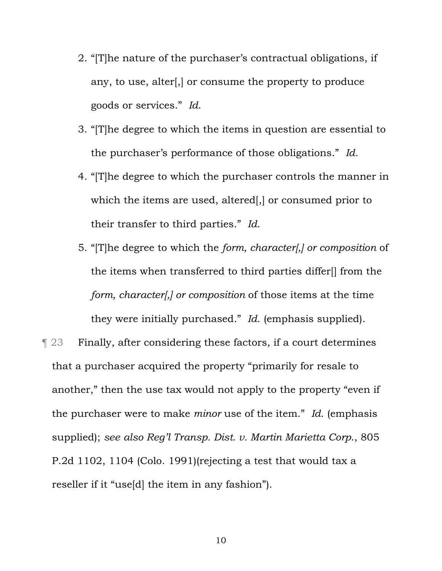- 2. "[T]he nature of the purchaser's contractual obligations, if any, to use, alter[,] or consume the property to produce goods or services." *Id*.
- 3. "[T]he degree to which the items in question are essential to the purchaser's performance of those obligations." *Id*.
- 4. "[T]he degree to which the purchaser controls the manner in which the items are used, altered[,] or consumed prior to their transfer to third parties." *Id*.
- 5. "[T]he degree to which the *form, character[,] or composition* of the items when transferred to third parties differ[] from the *form, character[,] or composition* of those items at the time they were initially purchased." *Id*. (emphasis supplied).

¶ 23 Finally, after considering these factors, if a court determines that a purchaser acquired the property "primarily for resale to another," then the use tax would not apply to the property "even if the purchaser were to make *minor* use of the item." *Id*. (emphasis supplied); *see also Reg'l Transp. Dist. v. Martin Marietta Corp*., 805 P.2d 1102, 1104 (Colo. 1991)(rejecting a test that would tax a reseller if it "use[d] the item in any fashion").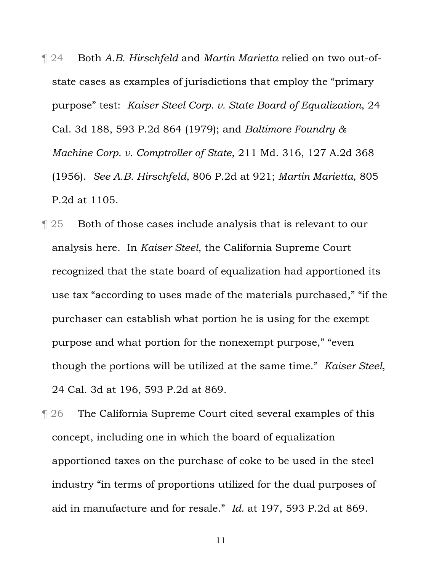¶ 24 Both *A.B. Hirschfeld* and *Martin Marietta* relied on two out-ofstate cases as examples of jurisdictions that employ the "primary purpose" test: *Kaiser Steel Corp. v. State Board of Equalization*, 24 Cal. 3d 188, 593 P.2d 864 (1979); and *Baltimore Foundry & Machine Corp. v. Comptroller of State*, 211 Md. 316, 127 A.2d 368 (1956). *See A.B. Hirschfeld*, 806 P.2d at 921; *Martin Marietta*, 805 P.2d at 1105.

- ¶ 25 Both of those cases include analysis that is relevant to our analysis here. In *Kaiser Steel*, the California Supreme Court recognized that the state board of equalization had apportioned its use tax "according to uses made of the materials purchased," "if the purchaser can establish what portion he is using for the exempt purpose and what portion for the nonexempt purpose," "even though the portions will be utilized at the same time." *Kaiser Steel*, 24 Cal. 3d at 196, 593 P.2d at 869.
- ¶ 26 The California Supreme Court cited several examples of this concept, including one in which the board of equalization apportioned taxes on the purchase of coke to be used in the steel industry "in terms of proportions utilized for the dual purposes of aid in manufacture and for resale." *Id.* at 197, 593 P.2d at 869.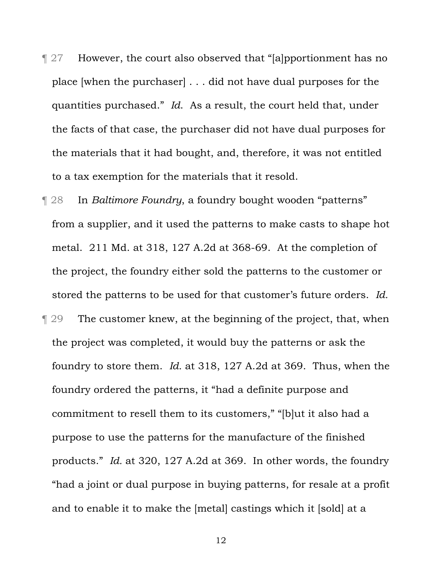¶ 27 However, the court also observed that "[a]pportionment has no place [when the purchaser] . . . did not have dual purposes for the quantities purchased." *Id*. As a result, the court held that, under the facts of that case, the purchaser did not have dual purposes for the materials that it had bought, and, therefore, it was not entitled to a tax exemption for the materials that it resold.

¶ 28 In *Baltimore Foundry*, a foundry bought wooden "patterns" from a supplier, and it used the patterns to make casts to shape hot metal. 211 Md. at 318, 127 A.2d at 368-69. At the completion of the project, the foundry either sold the patterns to the customer or stored the patterns to be used for that customer's future orders. *Id.* ¶ 29 The customer knew, at the beginning of the project, that, when the project was completed, it would buy the patterns or ask the foundry to store them. *Id.* at 318, 127 A.2d at 369. Thus, when the foundry ordered the patterns, it "had a definite purpose and commitment to resell them to its customers," "[b]ut it also had a purpose to use the patterns for the manufacture of the finished products." *Id.* at 320, 127 A.2d at 369. In other words, the foundry "had a joint or dual purpose in buying patterns, for resale at a profit and to enable it to make the [metal] castings which it [sold] at a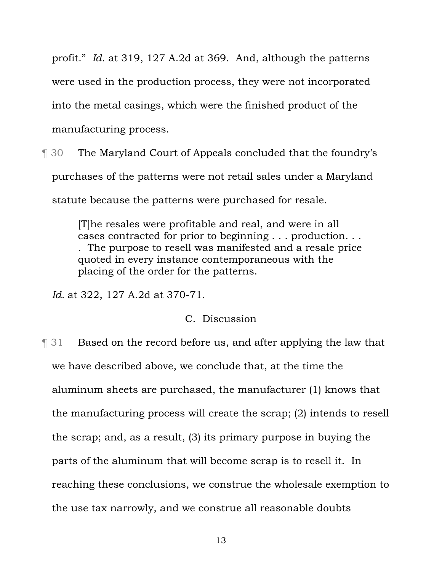profit." *Id*. at 319, 127 A.2d at 369. And, although the patterns were used in the production process, they were not incorporated into the metal casings, which were the finished product of the manufacturing process.

¶ 30 The Maryland Court of Appeals concluded that the foundry's purchases of the patterns were not retail sales under a Maryland statute because the patterns were purchased for resale.

> [T]he resales were profitable and real, and were in all cases contracted for prior to beginning . . . production. . . . The purpose to resell was manifested and a resale price quoted in every instance contemporaneous with the placing of the order for the patterns.

*Id.* at 322, 127 A.2d at 370-71.

## C. Discussion

¶ 31 Based on the record before us, and after applying the law that we have described above, we conclude that, at the time the aluminum sheets are purchased, the manufacturer (1) knows that the manufacturing process will create the scrap; (2) intends to resell the scrap; and, as a result, (3) its primary purpose in buying the parts of the aluminum that will become scrap is to resell it. In reaching these conclusions, we construe the wholesale exemption to the use tax narrowly, and we construe all reasonable doubts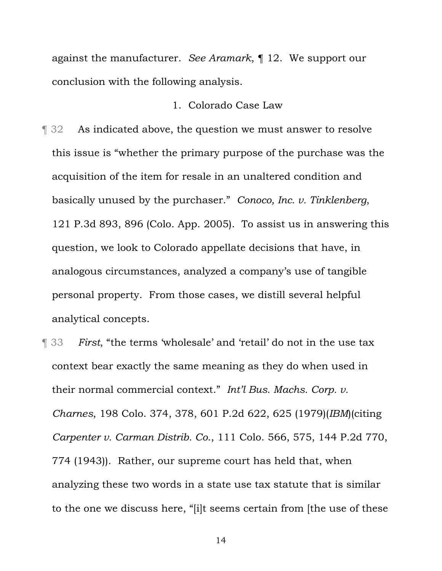against the manufacturer. *See Aramark*, ¶ 12. We support our conclusion with the following analysis.

#### 1. Colorado Case Law

¶ 32 As indicated above, the question we must answer to resolve this issue is "whether the primary purpose of the purchase was the acquisition of the item for resale in an unaltered condition and basically unused by the purchaser." *Conoco, Inc. v. Tinklenberg*, 121 P.3d 893, 896 (Colo. App. 2005). To assist us in answering this question, we look to Colorado appellate decisions that have, in analogous circumstances, analyzed a company's use of tangible personal property. From those cases, we distill several helpful analytical concepts.

¶ 33 *First*, "the terms 'wholesale' and 'retail' do not in the use tax context bear exactly the same meaning as they do when used in their normal commercial context." *Int'l Bus. Machs. Corp. v. Charnes*, 198 Colo. 374, 378, 601 P.2d 622, 625 (1979)(*IBM*)(citing *Carpenter v. Carman Distrib. Co*., 111 Colo. 566, 575, 144 P.2d 770, 774 (1943)). Rather, our supreme court has held that, when analyzing these two words in a state use tax statute that is similar to the one we discuss here, "[i]t seems certain from [the use of these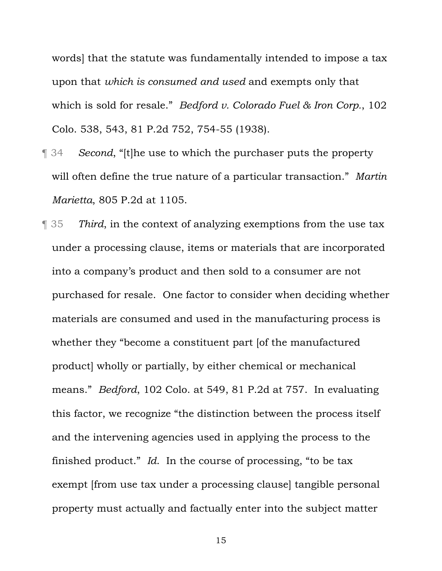words] that the statute was fundamentally intended to impose a tax upon that *which is consumed and used* and exempts only that which is sold for resale." *Bedford v. Colorado Fuel & Iron Corp.*, 102 Colo. 538, 543, 81 P.2d 752, 754-55 (1938).

- ¶ 34 *Second*, "[t]he use to which the purchaser puts the property will often define the true nature of a particular transaction." *Martin Marietta*, 805 P.2d at 1105.
- ¶ 35 *Third*, in the context of analyzing exemptions from the use tax under a processing clause, items or materials that are incorporated into a company's product and then sold to a consumer are not purchased for resale. One factor to consider when deciding whether materials are consumed and used in the manufacturing process is whether they "become a constituent part [of the manufactured product] wholly or partially, by either chemical or mechanical means." *Bedford*, 102 Colo. at 549, 81 P.2d at 757. In evaluating this factor, we recognize "the distinction between the process itself and the intervening agencies used in applying the process to the finished product." *Id*. In the course of processing, "to be tax exempt [from use tax under a processing clause] tangible personal property must actually and factually enter into the subject matter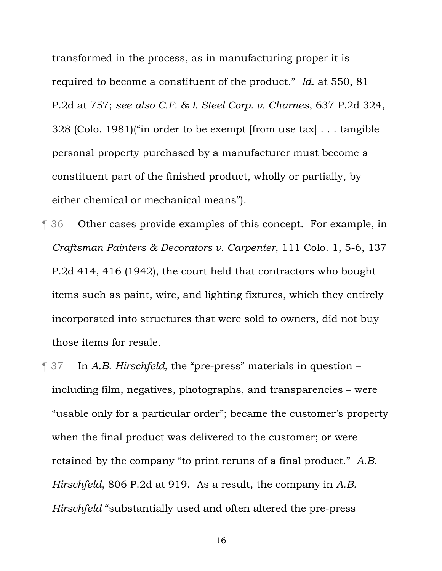transformed in the process, as in manufacturing proper it is required to become a constituent of the product." *Id*. at 550, 81 P.2d at 757; *see also C.F. & I. Steel Corp. v. Charnes*, 637 P.2d 324, 328 (Colo. 1981)("in order to be exempt [from use tax] . . . tangible personal property purchased by a manufacturer must become a constituent part of the finished product, wholly or partially, by either chemical or mechanical means").

- ¶ 36 Other cases provide examples of this concept. For example, in *Craftsman Painters & Decorators v. Carpenter*, 111 Colo. 1, 5-6, 137 P.2d 414, 416 (1942), the court held that contractors who bought items such as paint, wire, and lighting fixtures, which they entirely incorporated into structures that were sold to owners, did not buy those items for resale.
- ¶ 37 In *A.B. Hirschfeld*, the "pre-press" materials in question including film, negatives, photographs, and transparencies – were "usable only for a particular order"; became the customer's property when the final product was delivered to the customer; or were retained by the company "to print reruns of a final product." *A.B. Hirschfeld*, 806 P.2d at 919. As a result, the company in *A.B. Hirschfeld* "substantially used and often altered the pre-press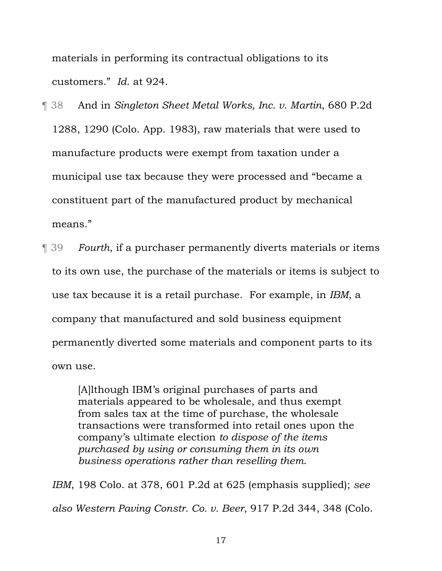materials in performing its contractual obligations to its customers." *Id*. at 924.

- ¶ 38 And in *Singleton Sheet Metal Works, Inc. v. Martin*, 680 P.2d 1288, 1290 (Colo. App. 1983), raw materials that were used to manufacture products were exempt from taxation under a municipal use tax because they were processed and "became a constituent part of the manufactured product by mechanical means."
- ¶ 39 *Fourth*, if a purchaser permanently diverts materials or items to its own use, the purchase of the materials or items is subject to use tax because it is a retail purchase. For example, in *IBM*, a company that manufactured and sold business equipment permanently diverted some materials and component parts to its own use.

[A]lthough IBM's original purchases of parts and materials appeared to be wholesale, and thus exempt from sales tax at the time of purchase, the wholesale transactions were transformed into retail ones upon the company's ultimate election *to dispose of the items purchased by using or consuming them in its own business operations rather than reselling them*.

*IBM*, 198 Colo. at 378, 601 P.2d at 625 (emphasis supplied); *see also Western Paving Constr. Co. v. Beer*, 917 P.2d 344, 348 (Colo.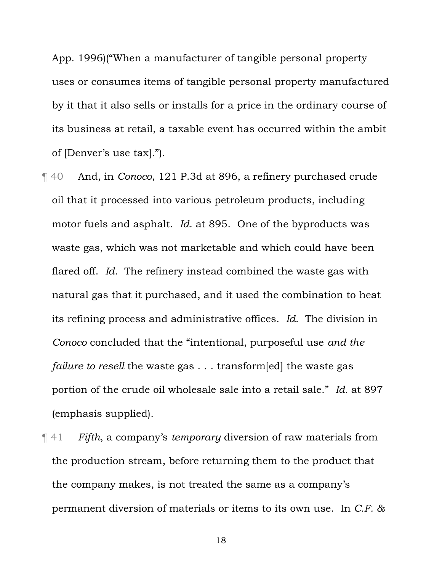App. 1996)("When a manufacturer of tangible personal property uses or consumes items of tangible personal property manufactured by it that it also sells or installs for a price in the ordinary course of its business at retail, a taxable event has occurred within the ambit of [Denver's use tax].").

- ¶ 40 And, in *Conoco*, 121 P.3d at 896, a refinery purchased crude oil that it processed into various petroleum products, including motor fuels and asphalt. *Id*. at 895. One of the byproducts was waste gas, which was not marketable and which could have been flared off. *Id.* The refinery instead combined the waste gas with natural gas that it purchased, and it used the combination to heat its refining process and administrative offices. *Id.* The division in *Conoco* concluded that the "intentional, purposeful use *and the failure to resell* the waste gas . . . transform[ed] the waste gas portion of the crude oil wholesale sale into a retail sale." *Id.* at 897 (emphasis supplied).
- ¶ 41 *Fifth*, a company's *temporary* diversion of raw materials from the production stream, before returning them to the product that the company makes, is not treated the same as a company's permanent diversion of materials or items to its own use. In *C.F. &*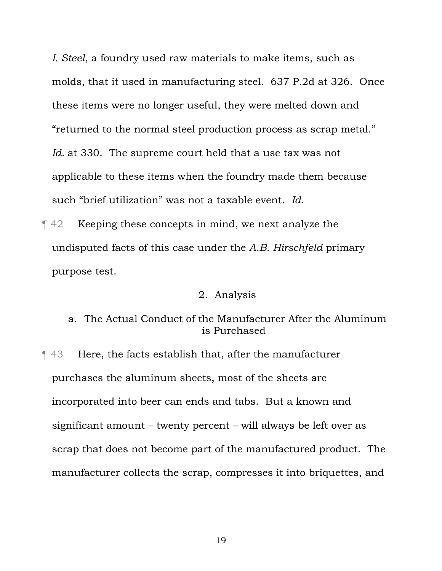*I. Steel*, a foundry used raw materials to make items, such as molds, that it used in manufacturing steel. 637 P.2d at 326. Once these items were no longer useful, they were melted down and "returned to the normal steel production process as scrap metal." Id. at 330. The supreme court held that a use tax was not applicable to these items when the foundry made them because such "brief utilization" was not a taxable event. *Id*.

¶ 42 Keeping these concepts in mind, we next analyze the undisputed facts of this case under the *A.B. Hirschfeld* primary purpose test.

#### 2. Analysis

# a. The Actual Conduct of the Manufacturer After the Aluminum is Purchased

¶ 43 Here, the facts establish that, after the manufacturer purchases the aluminum sheets, most of the sheets are incorporated into beer can ends and tabs. But a known and significant amount – twenty percent – will always be left over as scrap that does not become part of the manufactured product. The manufacturer collects the scrap, compresses it into briquettes, and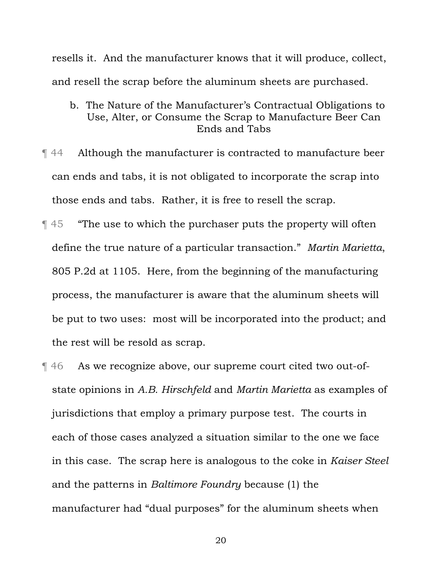resells it. And the manufacturer knows that it will produce, collect, and resell the scrap before the aluminum sheets are purchased.

- b. The Nature of the Manufacturer's Contractual Obligations to Use, Alter, or Consume the Scrap to Manufacture Beer Can Ends and Tabs
- ¶ 44 Although the manufacturer is contracted to manufacture beer can ends and tabs, it is not obligated to incorporate the scrap into those ends and tabs. Rather, it is free to resell the scrap.
- ¶ 45 "The use to which the purchaser puts the property will often define the true nature of a particular transaction." *Martin Marietta*, 805 P.2d at 1105. Here, from the beginning of the manufacturing process, the manufacturer is aware that the aluminum sheets will be put to two uses: most will be incorporated into the product; and the rest will be resold as scrap.
- ¶ 46 As we recognize above, our supreme court cited two out-ofstate opinions in *A.B. Hirschfeld* and *Martin Marietta* as examples of jurisdictions that employ a primary purpose test. The courts in each of those cases analyzed a situation similar to the one we face in this case. The scrap here is analogous to the coke in *Kaiser Steel* and the patterns in *Baltimore Foundry* because (1) the manufacturer had "dual purposes" for the aluminum sheets when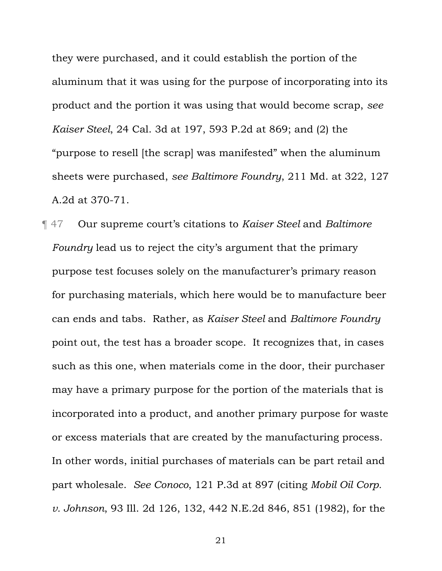they were purchased, and it could establish the portion of the aluminum that it was using for the purpose of incorporating into its product and the portion it was using that would become scrap, *see Kaiser Steel*, 24 Cal. 3d at 197, 593 P.2d at 869; and (2) the "purpose to resell [the scrap] was manifested" when the aluminum sheets were purchased, *see Baltimore Foundry*, 211 Md. at 322, 127 A.2d at 370-71.

¶ 47 Our supreme court's citations to *Kaiser Steel* and *Baltimore Foundry* lead us to reject the city's argument that the primary purpose test focuses solely on the manufacturer's primary reason for purchasing materials, which here would be to manufacture beer can ends and tabs. Rather, as *Kaiser Steel* and *Baltimore Foundry* point out, the test has a broader scope. It recognizes that, in cases such as this one, when materials come in the door, their purchaser may have a primary purpose for the portion of the materials that is incorporated into a product, and another primary purpose for waste or excess materials that are created by the manufacturing process. In other words, initial purchases of materials can be part retail and part wholesale. *See Conoco*, 121 P.3d at 897 (citing *Mobil Oil Corp. v. Johnson*, 93 Ill. 2d 126, 132, 442 N.E.2d 846, 851 (1982), for the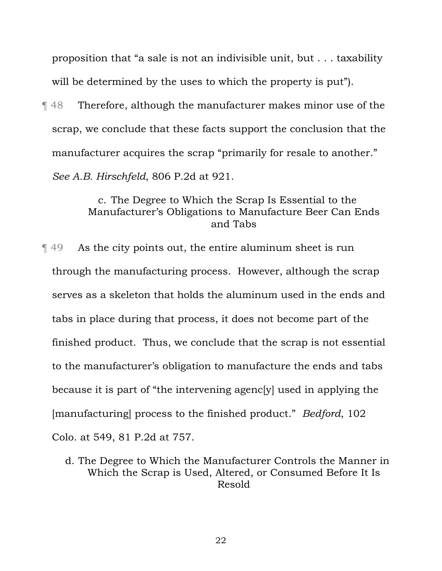proposition that "a sale is not an indivisible unit, but . . . taxability will be determined by the uses to which the property is put".

¶ 48 Therefore, although the manufacturer makes minor use of the scrap, we conclude that these facts support the conclusion that the manufacturer acquires the scrap "primarily for resale to another." *See A.B. Hirschfeld*, 806 P.2d at 921.

## c. The Degree to Which the Scrap Is Essential to the Manufacturer's Obligations to Manufacture Beer Can Ends and Tabs

¶ 49 As the city points out, the entire aluminum sheet is run through the manufacturing process. However, although the scrap serves as a skeleton that holds the aluminum used in the ends and tabs in place during that process, it does not become part of the finished product. Thus, we conclude that the scrap is not essential to the manufacturer's obligation to manufacture the ends and tabs because it is part of "the intervening agenc[y] used in applying the [manufacturing] process to the finished product." *Bedford*, 102 Colo. at 549, 81 P.2d at 757.

d. The Degree to Which the Manufacturer Controls the Manner in Which the Scrap is Used, Altered, or Consumed Before It Is Resold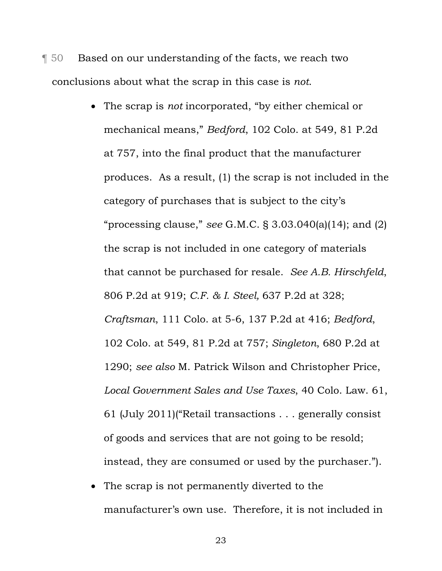¶ 50 Based on our understanding of the facts, we reach two conclusions about what the scrap in this case is *not*.

- The scrap is *not* incorporated, "by either chemical or mechanical means," *Bedford*, 102 Colo. at 549, 81 P.2d at 757, into the final product that the manufacturer produces. As a result, (1) the scrap is not included in the category of purchases that is subject to the city's "processing clause," *see* G.M.C. § 3.03.040(a)(14); and (2) the scrap is not included in one category of materials that cannot be purchased for resale. *See A.B. Hirschfeld*, 806 P.2d at 919; *C.F. & I. Steel,* 637 P.2d at 328; *Craftsman*, 111 Colo. at 5-6, 137 P.2d at 416; *Bedford*, 102 Colo. at 549, 81 P.2d at 757; *Singleton*, 680 P.2d at 1290; *see also* M. Patrick Wilson and Christopher Price, *Local Government Sales and Use Taxes*, 40 Colo. Law. 61, 61 (July 2011)("Retail transactions . . . generally consist of goods and services that are not going to be resold; instead, they are consumed or used by the purchaser.").
- The scrap is not permanently diverted to the manufacturer's own use. Therefore, it is not included in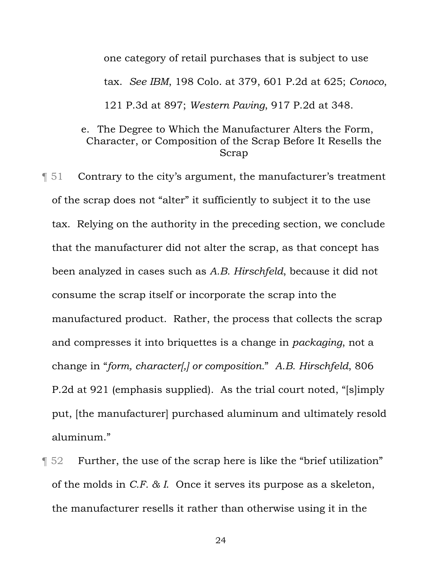one category of retail purchases that is subject to use tax. *See IBM*, 198 Colo. at 379, 601 P.2d at 625; *Conoco*, 121 P.3d at 897; *Western Paving*, 917 P.2d at 348.

# e. The Degree to Which the Manufacturer Alters the Form, Character, or Composition of the Scrap Before It Resells the Scrap

¶ 51 Contrary to the city's argument, the manufacturer's treatment of the scrap does not "alter" it sufficiently to subject it to the use tax. Relying on the authority in the preceding section, we conclude that the manufacturer did not alter the scrap, as that concept has been analyzed in cases such as *A.B. Hirschfeld*, because it did not consume the scrap itself or incorporate the scrap into the manufactured product. Rather, the process that collects the scrap and compresses it into briquettes is a change in *packaging*, not a change in "*form, character[,] or composition.*" *A.B. Hirschfeld*, 806 P.2d at 921 (emphasis supplied). As the trial court noted, "[s]imply put, [the manufacturer] purchased aluminum and ultimately resold aluminum."

¶ 52 Further, the use of the scrap here is like the "brief utilization" of the molds in *C.F. & I*. Once it serves its purpose as a skeleton, the manufacturer resells it rather than otherwise using it in the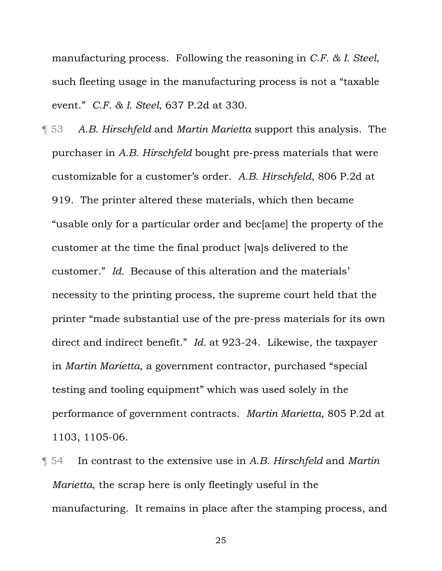manufacturing process. Following the reasoning in *C.F. & I. Steel*, such fleeting usage in the manufacturing process is not a "taxable event." *C.F. & I. Steel*, 637 P.2d at 330.

- ¶ 53 *A.B. Hirschfeld* and *Martin Marietta* support this analysis. The purchaser in *A.B. Hirschfeld* bought pre-press materials that were customizable for a customer's order. *A.B. Hirschfeld*, 806 P.2d at 919. The printer altered these materials, which then became "usable only for a particular order and bec[ame] the property of the customer at the time the final product [wa]s delivered to the customer." *Id.* Because of this alteration and the materials' necessity to the printing process, the supreme court held that the printer "made substantial use of the pre-press materials for its own direct and indirect benefit." *Id.* at 923-24. Likewise, the taxpayer in *Martin Marietta*, a government contractor, purchased "special testing and tooling equipment" which was used solely in the performance of government contracts. *Martin Marietta*, 805 P.2d at 1103, 1105-06.
- ¶ 54 In contrast to the extensive use in *A.B. Hirschfeld* and *Martin Marietta*, the scrap here is only fleetingly useful in the manufacturing. It remains in place after the stamping process, and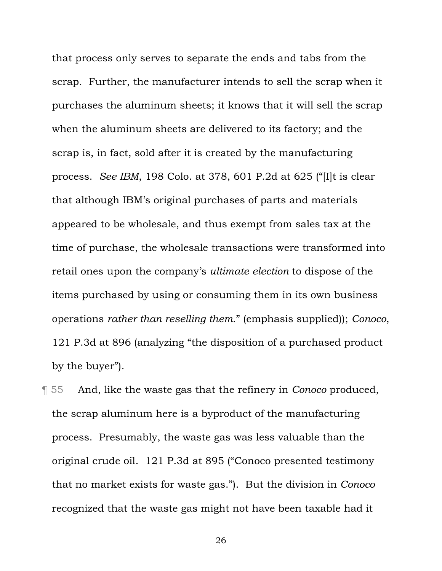that process only serves to separate the ends and tabs from the scrap. Further, the manufacturer intends to sell the scrap when it purchases the aluminum sheets; it knows that it will sell the scrap when the aluminum sheets are delivered to its factory; and the scrap is, in fact, sold after it is created by the manufacturing process. *See IBM*, 198 Colo. at 378, 601 P.2d at 625 ("[I]t is clear that although IBM's original purchases of parts and materials appeared to be wholesale, and thus exempt from sales tax at the time of purchase, the wholesale transactions were transformed into retail ones upon the company's *ultimate election* to dispose of the items purchased by using or consuming them in its own business operations *rather than reselling them*." (emphasis supplied)); *Conoco*, 121 P.3d at 896 (analyzing "the disposition of a purchased product by the buyer").

¶ 55 And, like the waste gas that the refinery in *Conoco* produced, the scrap aluminum here is a byproduct of the manufacturing process. Presumably, the waste gas was less valuable than the original crude oil. 121 P.3d at 895 ("Conoco presented testimony that no market exists for waste gas."). But the division in *Conoco* recognized that the waste gas might not have been taxable had it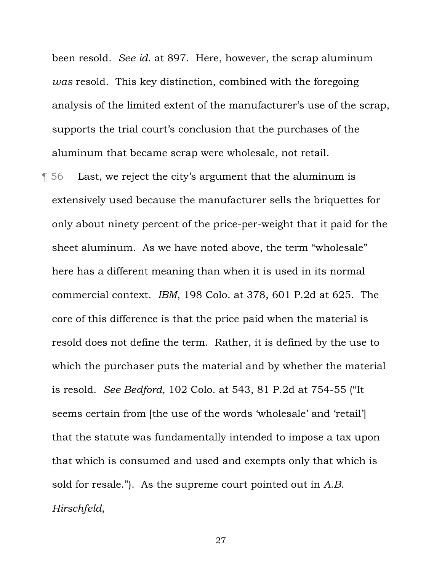been resold. *See id*. at 897. Here, however, the scrap aluminum *was* resold. This key distinction, combined with the foregoing analysis of the limited extent of the manufacturer's use of the scrap, supports the trial court's conclusion that the purchases of the aluminum that became scrap were wholesale, not retail.

¶ 56 Last, we reject the city's argument that the aluminum is extensively used because the manufacturer sells the briquettes for only about ninety percent of the price-per-weight that it paid for the sheet aluminum. As we have noted above, the term "wholesale" here has a different meaning than when it is used in its normal commercial context. *IBM*, 198 Colo. at 378, 601 P.2d at 625. The core of this difference is that the price paid when the material is resold does not define the term. Rather, it is defined by the use to which the purchaser puts the material and by whether the material is resold. *See Bedford*, 102 Colo. at 543, 81 P.2d at 754-55 ("It seems certain from [the use of the words 'wholesale' and 'retail'] that the statute was fundamentally intended to impose a tax upon that which is consumed and used and exempts only that which is sold for resale."). As the supreme court pointed out in *A.B. Hirschfeld*,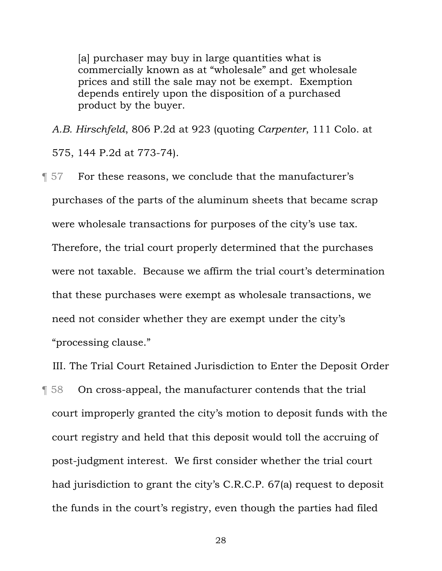[a] purchaser may buy in large quantities what is commercially known as at "wholesale" and get wholesale prices and still the sale may not be exempt. Exemption depends entirely upon the disposition of a purchased product by the buyer.

*A.B. Hirschfeld*, 806 P.2d at 923 (quoting *Carpenter*, 111 Colo. at

575, 144 P.2d at 773-74).

¶ 57 For these reasons, we conclude that the manufacturer's purchases of the parts of the aluminum sheets that became scrap were wholesale transactions for purposes of the city's use tax. Therefore, the trial court properly determined that the purchases were not taxable. Because we affirm the trial court's determination that these purchases were exempt as wholesale transactions, we need not consider whether they are exempt under the city's "processing clause."

III. The Trial Court Retained Jurisdiction to Enter the Deposit Order

¶ 58 On cross-appeal, the manufacturer contends that the trial court improperly granted the city's motion to deposit funds with the court registry and held that this deposit would toll the accruing of post-judgment interest. We first consider whether the trial court had jurisdiction to grant the city's C.R.C.P. 67(a) request to deposit the funds in the court's registry, even though the parties had filed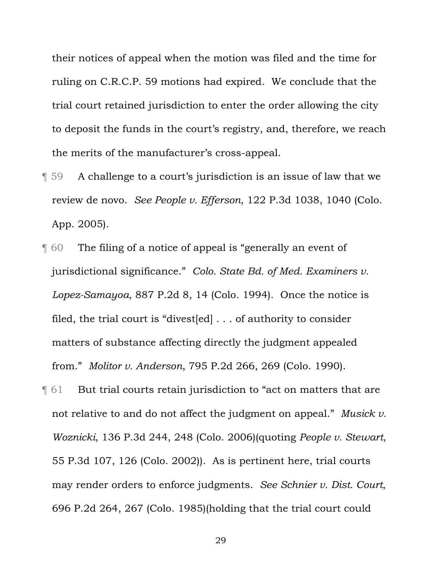their notices of appeal when the motion was filed and the time for ruling on C.R.C.P. 59 motions had expired. We conclude that the trial court retained jurisdiction to enter the order allowing the city to deposit the funds in the court's registry, and, therefore, we reach the merits of the manufacturer's cross-appeal.

- ¶ 59 A challenge to a court's jurisdiction is an issue of law that we review de novo. *See People v. Efferson*, 122 P.3d 1038, 1040 (Colo. App. 2005).
- ¶ 60 The filing of a notice of appeal is "generally an event of jurisdictional significance." *Colo. State Bd. of Med. Examiners v. Lopez-Samayoa*, 887 P.2d 8, 14 (Colo. 1994). Once the notice is filed, the trial court is "divest[ed] . . . of authority to consider matters of substance affecting directly the judgment appealed from." *Molitor v. Anderson*, 795 P.2d 266, 269 (Colo. 1990).
- ¶ 61 But trial courts retain jurisdiction to "act on matters that are not relative to and do not affect the judgment on appeal." *Musick v. Woznicki*, 136 P.3d 244, 248 (Colo. 2006)(quoting *People v. Stewart*, 55 P.3d 107, 126 (Colo. 2002)). As is pertinent here, trial courts may render orders to enforce judgments. *See Schnier v. Dist. Court*, 696 P.2d 264, 267 (Colo. 1985)(holding that the trial court could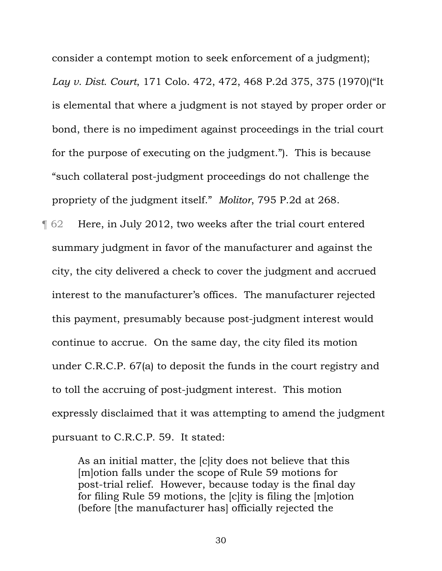consider a contempt motion to seek enforcement of a judgment); *Lay v. Dist. Court*, 171 Colo. 472, 472, 468 P.2d 375, 375 (1970)("It is elemental that where a judgment is not stayed by proper order or bond, there is no impediment against proceedings in the trial court for the purpose of executing on the judgment."). This is because "such collateral post-judgment proceedings do not challenge the propriety of the judgment itself." *Molitor*, 795 P.2d at 268.

¶ 62 Here, in July 2012, two weeks after the trial court entered summary judgment in favor of the manufacturer and against the city, the city delivered a check to cover the judgment and accrued interest to the manufacturer's offices. The manufacturer rejected this payment, presumably because post-judgment interest would continue to accrue. On the same day, the city filed its motion under C.R.C.P. 67(a) to deposit the funds in the court registry and to toll the accruing of post-judgment interest. This motion expressly disclaimed that it was attempting to amend the judgment pursuant to C.R.C.P. 59. It stated:

> As an initial matter, the [c]ity does not believe that this [m]otion falls under the scope of Rule 59 motions for post-trial relief. However, because today is the final day for filing Rule 59 motions, the [c]ity is filing the [m]otion (before [the manufacturer has] officially rejected the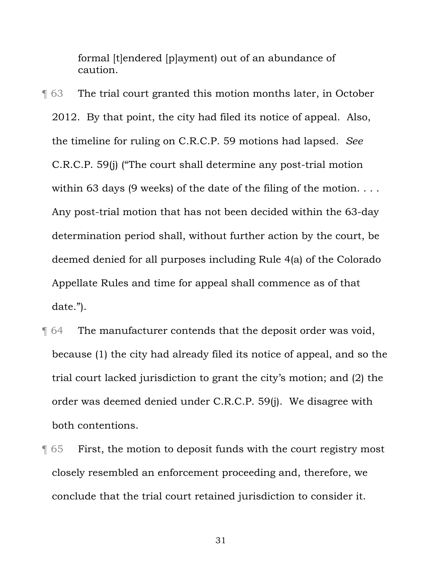formal [t]endered [p]ayment) out of an abundance of caution.

¶ 63 The trial court granted this motion months later, in October 2012. By that point, the city had filed its notice of appeal. Also, the timeline for ruling on C.R.C.P. 59 motions had lapsed. *See* C.R.C.P. 59(j) ("The court shall determine any post-trial motion within 63 days (9 weeks) of the date of the filing of the motion. . . . Any post-trial motion that has not been decided within the 63-day determination period shall, without further action by the court, be deemed denied for all purposes including Rule 4(a) of the Colorado Appellate Rules and time for appeal shall commence as of that date.").

- ¶ 64 The manufacturer contends that the deposit order was void, because (1) the city had already filed its notice of appeal, and so the trial court lacked jurisdiction to grant the city's motion; and (2) the order was deemed denied under C.R.C.P. 59(j). We disagree with both contentions.
- ¶ 65 First, the motion to deposit funds with the court registry most closely resembled an enforcement proceeding and, therefore, we conclude that the trial court retained jurisdiction to consider it.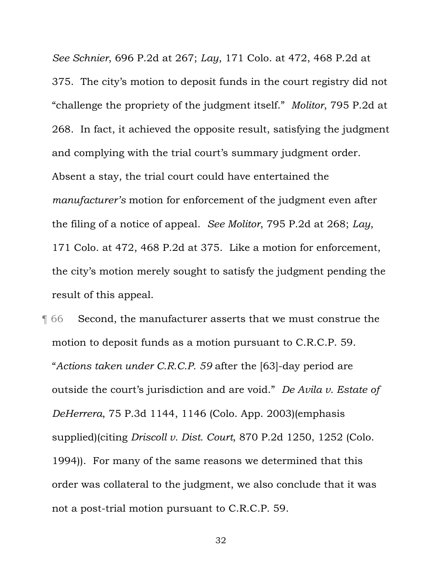*See Schnier*, 696 P.2d at 267; *Lay*, 171 Colo. at 472, 468 P.2d at 375. The city's motion to deposit funds in the court registry did not "challenge the propriety of the judgment itself." *Molitor*, 795 P.2d at 268. In fact, it achieved the opposite result, satisfying the judgment and complying with the trial court's summary judgment order. Absent a stay, the trial court could have entertained the *manufacturer's* motion for enforcement of the judgment even after the filing of a notice of appeal. *See Molitor*, 795 P.2d at 268; *Lay*, 171 Colo. at 472, 468 P.2d at 375. Like a motion for enforcement, the city's motion merely sought to satisfy the judgment pending the result of this appeal.

¶ 66 Second, the manufacturer asserts that we must construe the motion to deposit funds as a motion pursuant to C.R.C.P. 59. "*Actions taken under C.R.C.P. 59* after the [63]-day period are outside the court's jurisdiction and are void." *De Avila v. Estate of DeHerrera*, 75 P.3d 1144, 1146 (Colo. App. 2003)(emphasis supplied)(citing *Driscoll v. Dist. Court*, 870 P.2d 1250, 1252 (Colo. 1994)). For many of the same reasons we determined that this order was collateral to the judgment, we also conclude that it was not a post-trial motion pursuant to C.R.C.P. 59.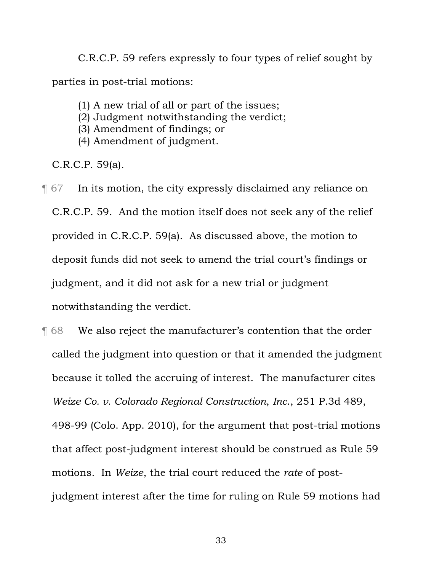C.R.C.P. 59 refers expressly to four types of relief sought by parties in post-trial motions:

- (1) A new trial of all or part of the issues;
- (2) Judgment notwithstanding the verdict;
- (3) Amendment of findings; or
- (4) Amendment of judgment.

C.R.C.P. 59(a).

- ¶ 67 In its motion, the city expressly disclaimed any reliance on C.R.C.P. 59. And the motion itself does not seek any of the relief provided in C.R.C.P. 59(a). As discussed above, the motion to deposit funds did not seek to amend the trial court's findings or judgment, and it did not ask for a new trial or judgment notwithstanding the verdict.
- ¶ 68 We also reject the manufacturer's contention that the order called the judgment into question or that it amended the judgment because it tolled the accruing of interest. The manufacturer cites *Weize Co. v. Colorado Regional Construction*, *Inc*., 251 P.3d 489, 498-99 (Colo. App. 2010), for the argument that post-trial motions that affect post-judgment interest should be construed as Rule 59 motions. In *Weize*, the trial court reduced the *rate* of postjudgment interest after the time for ruling on Rule 59 motions had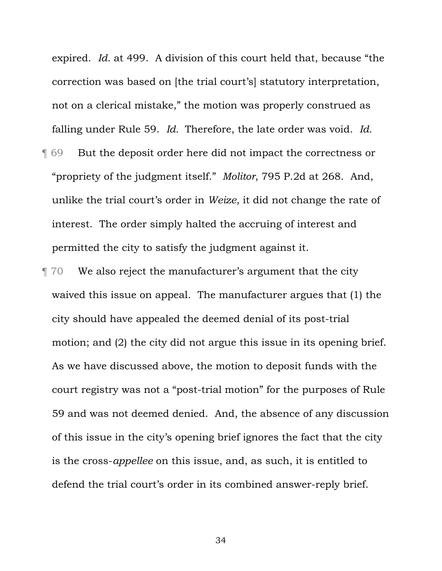expired. *Id.* at 499. A division of this court held that, because "the correction was based on [the trial court's] statutory interpretation, not on a clerical mistake," the motion was properly construed as falling under Rule 59. *Id.* Therefore, the late order was void. *Id.* ¶ 69 But the deposit order here did not impact the correctness or "propriety of the judgment itself." *Molitor*, 795 P.2d at 268. And, unlike the trial court's order in *Weize*, it did not change the rate of interest. The order simply halted the accruing of interest and permitted the city to satisfy the judgment against it.

¶ 70 We also reject the manufacturer's argument that the city waived this issue on appeal. The manufacturer argues that (1) the city should have appealed the deemed denial of its post-trial motion; and (2) the city did not argue this issue in its opening brief. As we have discussed above, the motion to deposit funds with the court registry was not a "post-trial motion" for the purposes of Rule 59 and was not deemed denied. And, the absence of any discussion of this issue in the city's opening brief ignores the fact that the city is the cross-*appellee* on this issue, and, as such, it is entitled to defend the trial court's order in its combined answer-reply brief.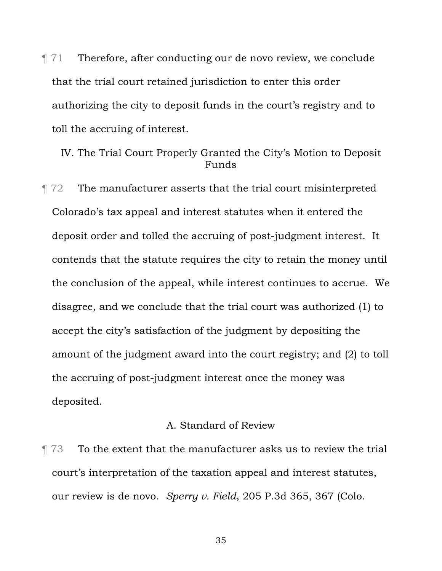$\parallel$  71 Therefore, after conducting our de novo review, we conclude that the trial court retained jurisdiction to enter this order authorizing the city to deposit funds in the court's registry and to toll the accruing of interest.

IV. The Trial Court Properly Granted the City's Motion to Deposit Funds

¶ 72 The manufacturer asserts that the trial court misinterpreted Colorado's tax appeal and interest statutes when it entered the deposit order and tolled the accruing of post-judgment interest. It contends that the statute requires the city to retain the money until the conclusion of the appeal, while interest continues to accrue. We disagree, and we conclude that the trial court was authorized (1) to accept the city's satisfaction of the judgment by depositing the amount of the judgment award into the court registry; and (2) to toll the accruing of post-judgment interest once the money was deposited.

## A. Standard of Review

¶ 73 To the extent that the manufacturer asks us to review the trial court's interpretation of the taxation appeal and interest statutes, our review is de novo. *Sperry v. Field*, 205 P.3d 365, 367 (Colo.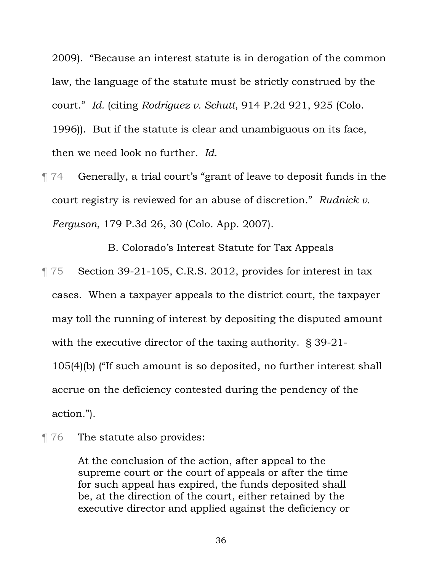2009). "Because an interest statute is in derogation of the common law, the language of the statute must be strictly construed by the court." *Id.* (citing *Rodriguez v. Schutt*, 914 P.2d 921, 925 (Colo. 1996)). But if the statute is clear and unambiguous on its face, then we need look no further. *Id.*

¶ 74 Generally, a trial court's "grant of leave to deposit funds in the court registry is reviewed for an abuse of discretion." *Rudnick v. Ferguson*, 179 P.3d 26, 30 (Colo. App. 2007).

B. Colorado's Interest Statute for Tax Appeals

- ¶ 75 Section 39-21-105, C.R.S. 2012, provides for interest in tax cases. When a taxpayer appeals to the district court, the taxpayer may toll the running of interest by depositing the disputed amount with the executive director of the taxing authority. § 39-21- 105(4)(b) ("If such amount is so deposited, no further interest shall accrue on the deficiency contested during the pendency of the action.").
- **The statute also provides:**

At the conclusion of the action, after appeal to the supreme court or the court of appeals or after the time for such appeal has expired, the funds deposited shall be, at the direction of the court, either retained by the executive director and applied against the deficiency or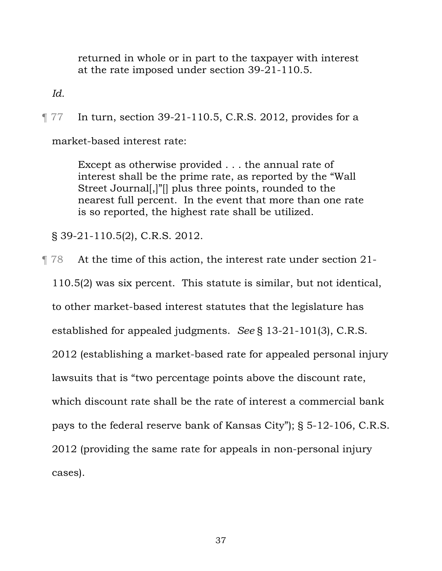returned in whole or in part to the taxpayer with interest at the rate imposed under section 39-21-110.5.

*Id.*

¶ 77 In turn, section 39-21-110.5, C.R.S. 2012, provides for a

market-based interest rate:

Except as otherwise provided . . . the annual rate of interest shall be the prime rate, as reported by the "Wall Street Journal[,]"[] plus three points, rounded to the nearest full percent. In the event that more than one rate is so reported, the highest rate shall be utilized.

§ 39-21-110.5(2), C.R.S. 2012.

¶ 78 At the time of this action, the interest rate under section 21- 110.5(2) was six percent. This statute is similar, but not identical, to other market-based interest statutes that the legislature has established for appealed judgments. *See* § 13-21-101(3), C.R.S. 2012 (establishing a market-based rate for appealed personal injury lawsuits that is "two percentage points above the discount rate, which discount rate shall be the rate of interest a commercial bank pays to the federal reserve bank of Kansas City"); § 5-12-106, C.R.S. 2012 (providing the same rate for appeals in non-personal injury cases).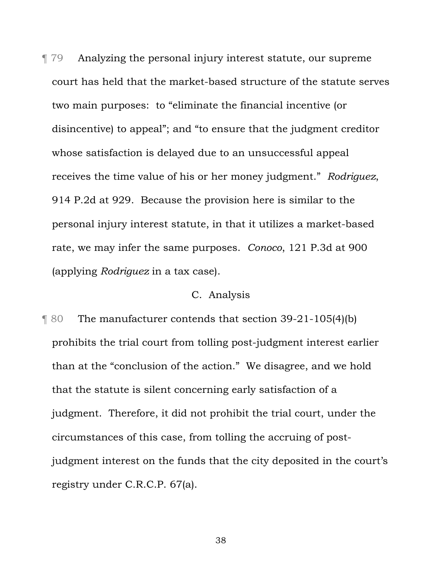¶ 79 Analyzing the personal injury interest statute, our supreme court has held that the market-based structure of the statute serves two main purposes: to "eliminate the financial incentive (or disincentive) to appeal"; and "to ensure that the judgment creditor whose satisfaction is delayed due to an unsuccessful appeal receives the time value of his or her money judgment." *Rodriguez*, 914 P.2d at 929. Because the provision here is similar to the personal injury interest statute, in that it utilizes a market-based rate, we may infer the same purposes. *Conoco*, 121 P.3d at 900 (applying *Rodriguez* in a tax case).

#### C. Analysis

¶ 80 The manufacturer contends that section 39-21-105(4)(b) prohibits the trial court from tolling post-judgment interest earlier than at the "conclusion of the action." We disagree, and we hold that the statute is silent concerning early satisfaction of a judgment. Therefore, it did not prohibit the trial court, under the circumstances of this case, from tolling the accruing of postjudgment interest on the funds that the city deposited in the court's registry under C.R.C.P. 67(a).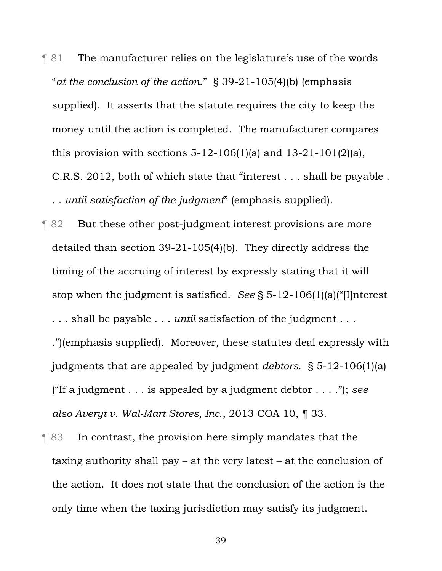¶ 81 The manufacturer relies on the legislature's use of the words "*at the conclusion of the action*." § 39-21-105(4)(b) (emphasis supplied). It asserts that the statute requires the city to keep the money until the action is completed. The manufacturer compares this provision with sections  $5-12-106(1)$ (a) and  $13-21-101(2)$ (a), C.R.S. 2012, both of which state that "interest . . . shall be payable .

. . *until satisfaction of the judgment*" (emphasis supplied).

- ¶ 82 But these other post-judgment interest provisions are more detailed than section 39-21-105(4)(b). They directly address the timing of the accruing of interest by expressly stating that it will stop when the judgment is satisfied. *See* § 5-12-106(1)(a)("[I]nterest . . . shall be payable . . . *until* satisfaction of the judgment . . . .")(emphasis supplied). Moreover, these statutes deal expressly with judgments that are appealed by judgment *debtors*. § 5-12-106(1)(a) ("If a judgment . . . is appealed by a judgment debtor . . . ."); *see also Averyt v. Wal-Mart Stores, Inc*., 2013 COA 10, ¶ 33.
- ¶ 83 In contrast, the provision here simply mandates that the taxing authority shall pay – at the very latest – at the conclusion of the action. It does not state that the conclusion of the action is the only time when the taxing jurisdiction may satisfy its judgment.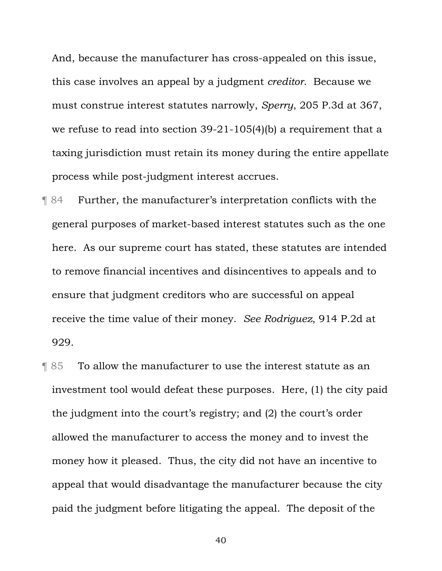And, because the manufacturer has cross-appealed on this issue, this case involves an appeal by a judgment *creditor*. Because we must construe interest statutes narrowly, *Sperry*, 205 P.3d at 367, we refuse to read into section 39-21-105(4)(b) a requirement that a taxing jurisdiction must retain its money during the entire appellate process while post-judgment interest accrues.

- ¶ 84 Further, the manufacturer's interpretation conflicts with the general purposes of market-based interest statutes such as the one here. As our supreme court has stated, these statutes are intended to remove financial incentives and disincentives to appeals and to ensure that judgment creditors who are successful on appeal receive the time value of their money. *See Rodriguez*, 914 P.2d at 929.
- ¶ 85 To allow the manufacturer to use the interest statute as an investment tool would defeat these purposes. Here, (1) the city paid the judgment into the court's registry; and (2) the court's order allowed the manufacturer to access the money and to invest the money how it pleased. Thus, the city did not have an incentive to appeal that would disadvantage the manufacturer because the city paid the judgment before litigating the appeal. The deposit of the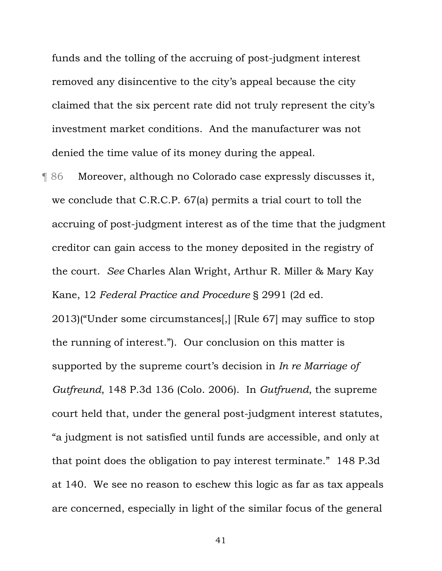funds and the tolling of the accruing of post-judgment interest removed any disincentive to the city's appeal because the city claimed that the six percent rate did not truly represent the city's investment market conditions. And the manufacturer was not denied the time value of its money during the appeal.

¶ 86 Moreover, although no Colorado case expressly discusses it, we conclude that C.R.C.P. 67(a) permits a trial court to toll the accruing of post-judgment interest as of the time that the judgment creditor can gain access to the money deposited in the registry of the court. *See* Charles Alan Wright, Arthur R. Miller & Mary Kay Kane, 12 *Federal Practice and Procedure* § 2991 (2d ed. 2013)("Under some circumstances[,] [Rule 67] may suffice to stop the running of interest."). Our conclusion on this matter is supported by the supreme court's decision in *In re Marriage of Gutfreund*, 148 P.3d 136 (Colo. 2006). In *Gutfruend*, the supreme court held that, under the general post-judgment interest statutes, "a judgment is not satisfied until funds are accessible, and only at that point does the obligation to pay interest terminate." 148 P*.*3d at 140. We see no reason to eschew this logic as far as tax appeals are concerned, especially in light of the similar focus of the general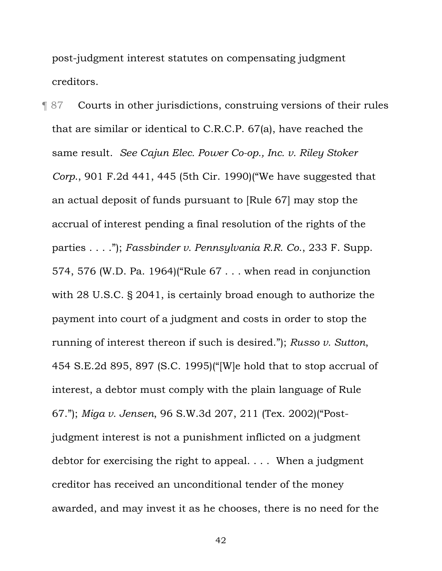post-judgment interest statutes on compensating judgment creditors.

¶ 87 Courts in other jurisdictions, construing versions of their rules that are similar or identical to C.R.C.P. 67(a), have reached the same result. *See Cajun Elec. Power Co-op., Inc. v. Riley Stoker Corp*., 901 F.2d 441, 445 (5th Cir. 1990)("We have suggested that an actual deposit of funds pursuant to [Rule 67] may stop the accrual of interest pending a final resolution of the rights of the parties . . . ."); *Fassbinder v. Pennsylvania R.R. Co*., 233 F. Supp. 574, 576 (W.D. Pa. 1964)("Rule 67 . . . when read in conjunction with 28 U.S.C. § 2041, is certainly broad enough to authorize the payment into court of a judgment and costs in order to stop the running of interest thereon if such is desired."); *Russo v. Sutton*, 454 S.E.2d 895, 897 (S.C. 1995)("[W]e hold that to stop accrual of interest, a debtor must comply with the plain language of Rule 67."); *Miga v. Jensen*, 96 S.W.3d 207, 211 (Tex. 2002)("Postjudgment interest is not a punishment inflicted on a judgment debtor for exercising the right to appeal. . . . When a judgment creditor has received an unconditional tender of the money awarded, and may invest it as he chooses, there is no need for the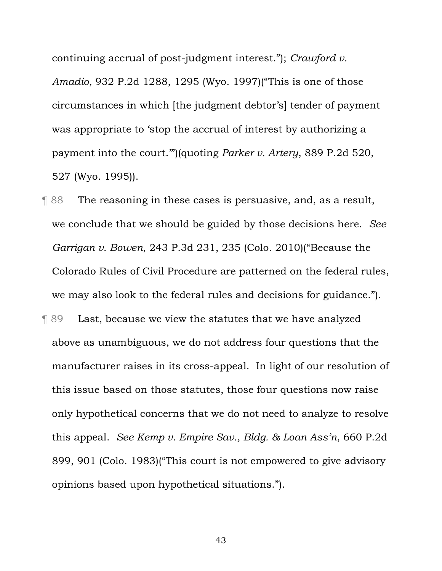continuing accrual of post-judgment interest."); *Crawford v. Amadio*, 932 P.2d 1288, 1295 (Wyo. 1997)("This is one of those circumstances in which [the judgment debtor's] tender of payment was appropriate to 'stop the accrual of interest by authorizing a payment into the court.'")(quoting *Parker v. Artery*, 889 P.2d 520, 527 (Wyo. 1995)).

¶ 88 The reasoning in these cases is persuasive, and, as a result, we conclude that we should be guided by those decisions here. *See Garrigan v. Bowen*, 243 P.3d 231, 235 (Colo. 2010)("Because the Colorado Rules of Civil Procedure are patterned on the federal rules, we may also look to the federal rules and decisions for guidance."). ¶ 89 Last, because we view the statutes that we have analyzed above as unambiguous, we do not address four questions that the manufacturer raises in its cross-appeal. In light of our resolution of this issue based on those statutes, those four questions now raise only hypothetical concerns that we do not need to analyze to resolve this appeal. *See Kemp v. Empire Sav., Bldg. & Loan Ass'n*, 660 P.2d 899, 901 (Colo. 1983)("This court is not empowered to give advisory opinions based upon hypothetical situations.").